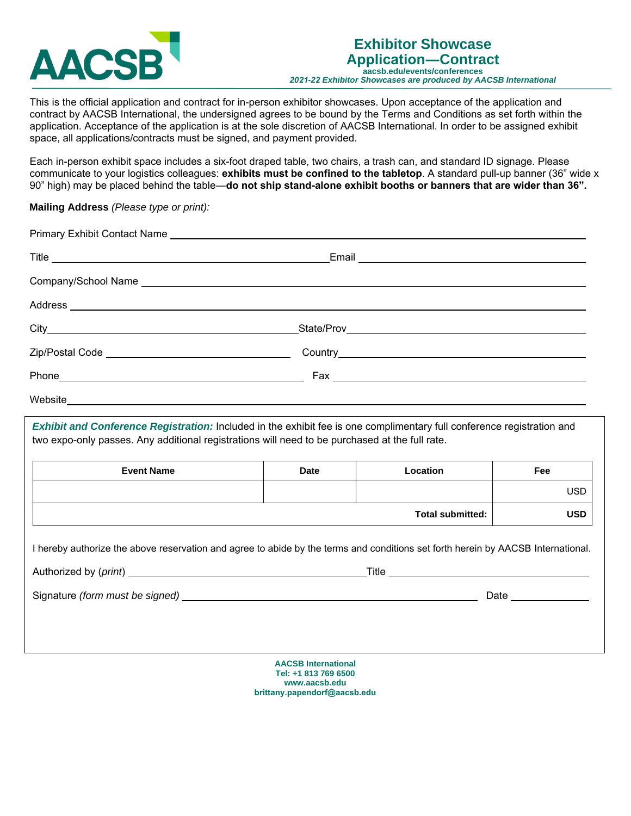

This is the official application and contract for in-person exhibitor showcases. Upon acceptance of the application and contract by AACSB International, the undersigned agrees to be bound by the Terms and Conditions as set forth within the application. Acceptance of the application is at the sole discretion of AACSB International. In order to be assigned exhibit space, all applications/contracts must be signed, and payment provided.

Each in-person exhibit space includes a six-foot draped table, two chairs, a trash can, and standard ID signage. Please communicate to your logistics colleagues: **exhibits must be confined to the tabletop**. A standard pull-up banner (36" wide x 90" high) may be placed behind the table―**do not ship stand-alone exhi[bit booths or banners that are w](mailto:brittany.papendorf@aacsb.edu)ider than 36".**

## **Mailing Address** *(Please type or print):*

| <b>Event Name</b>                                                                                                                | <b>Date</b> | Location                | Fee                  |
|----------------------------------------------------------------------------------------------------------------------------------|-------------|-------------------------|----------------------|
|                                                                                                                                  |             |                         | <b>USD</b>           |
|                                                                                                                                  |             | <b>Total submitted:</b> | <b>USD</b>           |
| I hereby authorize the above reservation and agree to abide by the terms and conditions set forth herein by AACSB International. |             |                         |                      |
|                                                                                                                                  |             |                         | Date _______________ |
|                                                                                                                                  |             |                         |                      |
|                                                                                                                                  |             |                         |                      |

**AACSB International Tel: +1 813 769 6500 www.aacsb.edu brittany.papendorf@aacsb.edu**